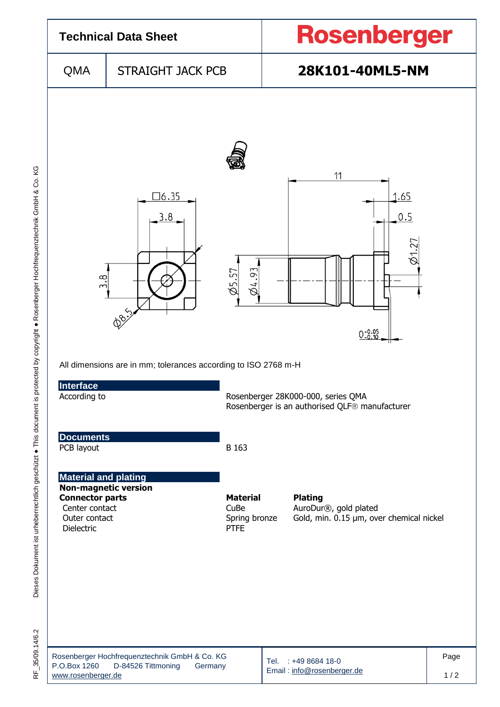

35/09.14/6.2  $\frac{\mu}{\alpha}$